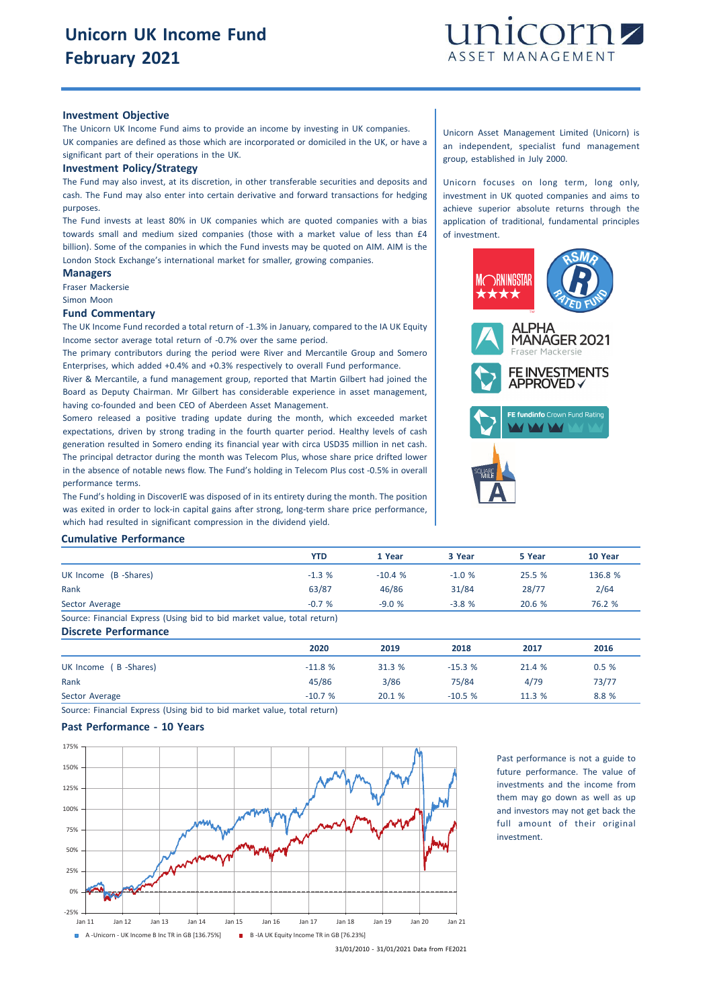

#### **Investment Objective**

The Unicorn UK Income Fund aims to provide an income by investing in UK companies. UK companies are defined as those which are incorporated or domiciled in the UK, or have a significant part of their operations in the UK.

#### **Investment Policy/Strategy**

The Fund may also invest, at its discretion, in other transferable securities and deposits and cash. The Fund may also enter into certain derivative and forward transactions for hedging purposes.

The Fund invests at least 80% in UK companies which are quoted companies with a bias towards small and medium sized companies (those with a market value of less than £4 billion). Some of the companies in which the Fund invests may be quoted on AIM. AIM is the London Stock Exchange's international market for smaller, growing companies.

# **Managers**

Fraser Mackersie Simon Moon

# **Fund Commentary**

The UK Income Fund recorded a total return of -1.3% in January, compared to the IA UK Equity Income sector average total return of -0.7% over the same period.

The primary contributors during the period were River and Mercantile Group and Somero Enterprises, which added +0.4% and +0.3% respectively to overall Fund performance.

River & Mercantile, a fund management group, reported that Martin Gilbert had joined the Board as Deputy Chairman. Mr Gilbert has considerable experience in asset management, having co-founded and been CEO of Aberdeen Asset Management.

Somero released a positive trading update during the month, which exceeded market expectations, driven by strong trading in the fourth quarter period. Healthy levels of cash generation resulted in Somero ending its financial year with circa USD35 million in net cash. The principal detractor during the month was Telecom Plus, whose share price drifted lower in the absence of notable news flow. The Fund's holding in Telecom Plus cost -0.5% in overall performance terms.

The Fund's holding in DiscoverIE was disposed of in its entirety during the month. The position was exited in order to lock-in capital gains after strong, long-term share price performance, which had resulted in significant compression in the dividend yield.

Unicorn Asset Management Limited (Unicorn) is an independent, specialist fund management group, established in July 2000.

Unicorn focuses on long term, long only, investment in UK quoted companies and aims to achieve superior absolute returns through the application of traditional, fundamental principles of investment.



#### **Cumulative Performance**

|                                                                         | <b>YTD</b> | 1 Year   | 3 Year  | 5 Year | 10 Year |
|-------------------------------------------------------------------------|------------|----------|---------|--------|---------|
| UK Income (B -Shares)                                                   | $-1.3%$    | $-10.4%$ | $-1.0%$ | 25.5 % | 136.8 % |
| Rank                                                                    | 63/87      | 46/86    | 31/84   | 28/77  | 2/64    |
| Sector Average                                                          | $-0.7%$    | $-9.0%$  | $-3.8%$ | 20.6%  | 76.2 %  |
| Source: Financial Express (Using bid to bid market value, total return) |            |          |         |        |         |
| <b>Discrete Performance</b>                                             |            |          |         |        |         |

|                       | 2020     | 2019   | 2018     | 2017   | 2016  |
|-----------------------|----------|--------|----------|--------|-------|
| UK Income (B -Shares) | $-11.8%$ | 31.3 % | $-15.3%$ | 21.4 % | 0.5%  |
| Rank                  | 45/86    | 3/86   | 75/84    | 4/79   | 73/77 |
| Sector Average        | $-10.7%$ | 20.1 % | $-10.5%$ | 11.3 % | 8.8%  |

Source: Financial Express (Using bid to bid market value, total return)

# **Past Performance - 10 Years**



Past performance is not a guide to future performance. The value of investments and the income from them may go down as well as up and investors may not get back the full amount of their original investment.

<sup>31/01/2010</sup> - 31/01/2021 Data from FE2021